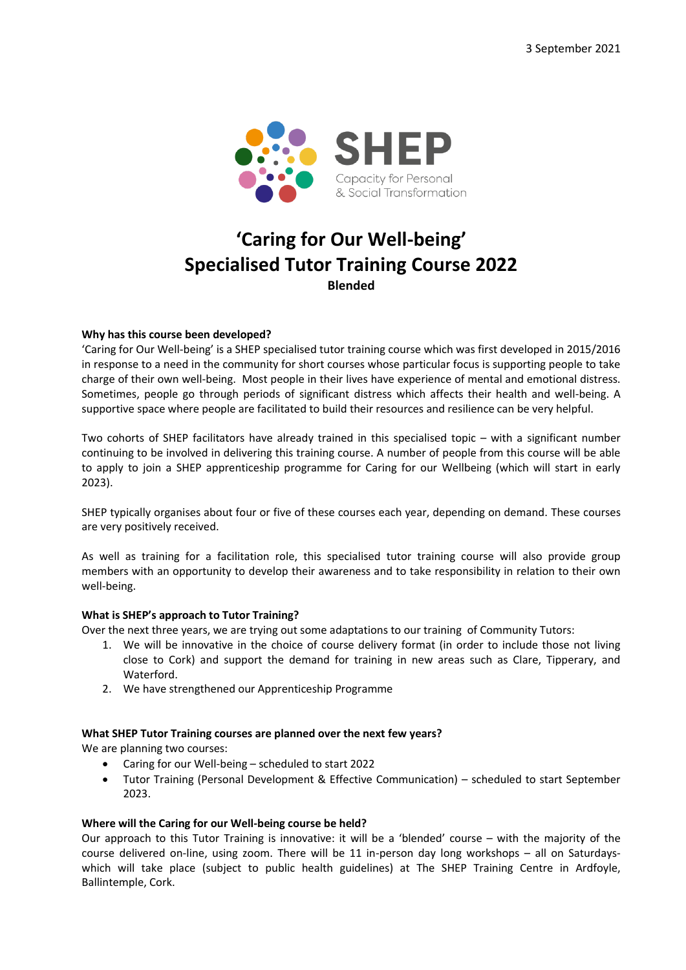

# **'Caring for Our Well-being' Specialised Tutor Training Course 2022 Blended**

## **Why has this course been developed?**

'Caring for Our Well-being' is a SHEP specialised tutor training course which was first developed in 2015/2016 in response to a need in the community for short courses whose particular focus is supporting people to take charge of their own well-being. Most people in their lives have experience of mental and emotional distress. Sometimes, people go through periods of significant distress which affects their health and well-being. A supportive space where people are facilitated to build their resources and resilience can be very helpful.

Two cohorts of SHEP facilitators have already trained in this specialised topic – with a significant number continuing to be involved in delivering this training course. A number of people from this course will be able to apply to join a SHEP apprenticeship programme for Caring for our Wellbeing (which will start in early 2023).

SHEP typically organises about four or five of these courses each year, depending on demand. These courses are very positively received.

As well as training for a facilitation role, this specialised tutor training course will also provide group members with an opportunity to develop their awareness and to take responsibility in relation to their own well-being.

#### **What is SHEP's approach to Tutor Training?**

Over the next three years, we are trying out some adaptations to our training of Community Tutors:

- 1. We will be innovative in the choice of course delivery format (in order to include those not living close to Cork) and support the demand for training in new areas such as Clare, Tipperary, and Waterford.
- 2. We have strengthened our Apprenticeship Programme

#### **What SHEP Tutor Training courses are planned over the next few years?**

We are planning two courses:

- Caring for our Well-being scheduled to start 2022
- Tutor Training (Personal Development & Effective Communication) scheduled to start September 2023.

#### **Where will the Caring for our Well-being course be held?**

Our approach to this Tutor Training is innovative: it will be a 'blended' course – with the majority of the course delivered on-line, using zoom. There will be 11 in-person day long workshops – all on Saturdayswhich will take place (subject to public health guidelines) at The SHEP Training Centre in Ardfoyle, Ballintemple, Cork.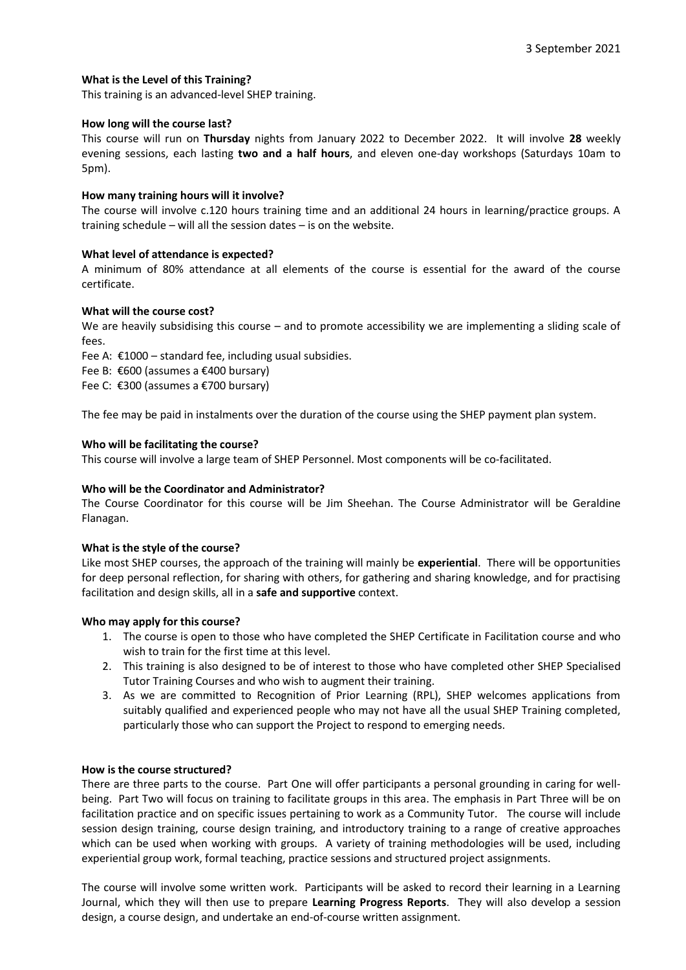# **What is the Level of this Training?**

This training is an advanced-level SHEP training.

#### **How long will the course last?**

This course will run on **Thursday** nights from January 2022 to December 2022. It will involve **28** weekly evening sessions, each lasting **two and a half hours**, and eleven one-day workshops (Saturdays 10am to 5pm).

## **How many training hours will it involve?**

The course will involve c.120 hours training time and an additional 24 hours in learning/practice groups. A training schedule – will all the session dates – is on the website.

## **What level of attendance is expected?**

A minimum of 80% attendance at all elements of the course is essential for the award of the course certificate.

## **What will the course cost?**

We are heavily subsidising this course – and to promote accessibility we are implementing a sliding scale of fees.

Fee A:  $€1000 -$  standard fee, including usual subsidies.

Fee B: €600 (assumes a €400 bursary)

Fee C: €300 (assumes a €700 bursary)

The fee may be paid in instalments over the duration of the course using the SHEP payment plan system.

## **Who will be facilitating the course?**

This course will involve a large team of SHEP Personnel. Most components will be co-facilitated.

# **Who will be the Coordinator and Administrator?**

The Course Coordinator for this course will be Jim Sheehan. The Course Administrator will be Geraldine Flanagan.

#### **What is the style of the course?**

Like most SHEP courses, the approach of the training will mainly be **experiential**. There will be opportunities for deep personal reflection, for sharing with others, for gathering and sharing knowledge, and for practising facilitation and design skills, all in a **safe and supportive** context.

#### **Who may apply for this course?**

- 1. The course is open to those who have completed the SHEP Certificate in Facilitation course and who wish to train for the first time at this level.
- 2. This training is also designed to be of interest to those who have completed other SHEP Specialised Tutor Training Courses and who wish to augment their training.
- 3. As we are committed to Recognition of Prior Learning (RPL), SHEP welcomes applications from suitably qualified and experienced people who may not have all the usual SHEP Training completed, particularly those who can support the Project to respond to emerging needs.

#### **How is the course structured?**

There are three parts to the course. Part One will offer participants a personal grounding in caring for wellbeing. Part Two will focus on training to facilitate groups in this area. The emphasis in Part Three will be on facilitation practice and on specific issues pertaining to work as a Community Tutor. The course will include session design training, course design training, and introductory training to a range of creative approaches which can be used when working with groups. A variety of training methodologies will be used, including experiential group work, formal teaching, practice sessions and structured project assignments.

The course will involve some written work. Participants will be asked to record their learning in a Learning Journal, which they will then use to prepare **Learning Progress Reports**. They will also develop a session design, a course design, and undertake an end-of-course written assignment.